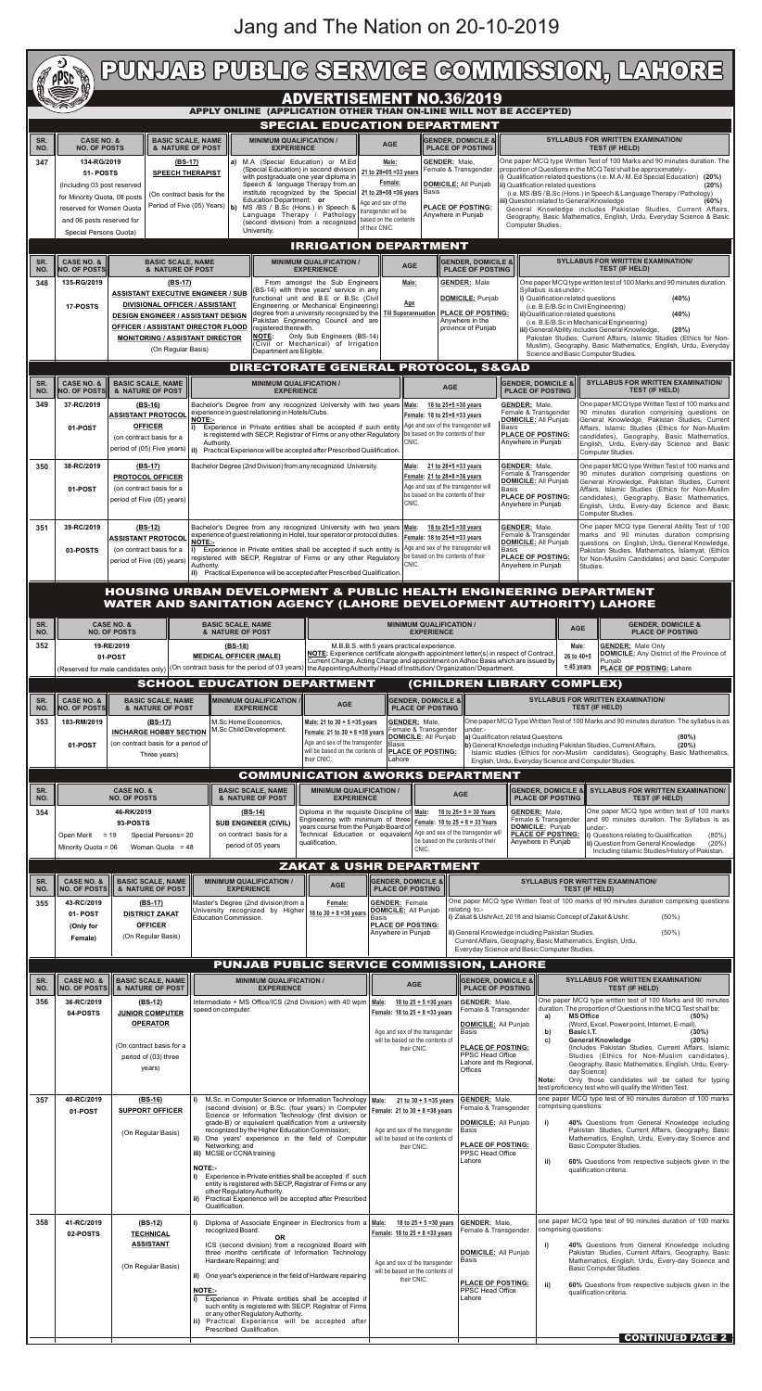|                                                                                                       | PUNJAB PUBLIG SERVIGE GOMMISSION, LAHORE<br><b>PPSD</b>                                                                                                                      |                                                                                                                                                                                                                                           |                                                                |                                                                                                                                                                                                                                                                                                                                                        |                                                                                                                                                                                                       |                                                                                                                        |                                                                                                                                                                                                                                                                                                                                          |                                                                                                                                                                                                                                                           |                                                                                                                             |                                                                                                                                                                                                                                                                                                                                                                                                        |                                                                                                                                                                                                                                                                                                                                                                                        |                                                                                                                                                                  |                                                                           |                                                                     |                                                                                                                                                            |
|-------------------------------------------------------------------------------------------------------|------------------------------------------------------------------------------------------------------------------------------------------------------------------------------|-------------------------------------------------------------------------------------------------------------------------------------------------------------------------------------------------------------------------------------------|----------------------------------------------------------------|--------------------------------------------------------------------------------------------------------------------------------------------------------------------------------------------------------------------------------------------------------------------------------------------------------------------------------------------------------|-------------------------------------------------------------------------------------------------------------------------------------------------------------------------------------------------------|------------------------------------------------------------------------------------------------------------------------|------------------------------------------------------------------------------------------------------------------------------------------------------------------------------------------------------------------------------------------------------------------------------------------------------------------------------------------|-----------------------------------------------------------------------------------------------------------------------------------------------------------------------------------------------------------------------------------------------------------|-----------------------------------------------------------------------------------------------------------------------------|--------------------------------------------------------------------------------------------------------------------------------------------------------------------------------------------------------------------------------------------------------------------------------------------------------------------------------------------------------------------------------------------------------|----------------------------------------------------------------------------------------------------------------------------------------------------------------------------------------------------------------------------------------------------------------------------------------------------------------------------------------------------------------------------------------|------------------------------------------------------------------------------------------------------------------------------------------------------------------|---------------------------------------------------------------------------|---------------------------------------------------------------------|------------------------------------------------------------------------------------------------------------------------------------------------------------|
| <b>ADVERTISEMENT NO.36/2019</b><br>APPLY ONLINE (APPLICATION OTHER THAN ON-LINE WILL NOT BE ACCEPTED) |                                                                                                                                                                              |                                                                                                                                                                                                                                           |                                                                |                                                                                                                                                                                                                                                                                                                                                        |                                                                                                                                                                                                       |                                                                                                                        |                                                                                                                                                                                                                                                                                                                                          |                                                                                                                                                                                                                                                           |                                                                                                                             |                                                                                                                                                                                                                                                                                                                                                                                                        |                                                                                                                                                                                                                                                                                                                                                                                        |                                                                                                                                                                  |                                                                           |                                                                     |                                                                                                                                                            |
| SR.<br>NO.<br>347                                                                                     | <b>CASE NO. &amp;</b><br><b>BASIC SCALE, NAME</b><br><b>NO. OF POSTS</b><br>& NATURE OF POST<br>134-RG/2019<br><b>SPEECH THERAPIST</b><br>51- POSTS                          |                                                                                                                                                                                                                                           | $(BS-17)$                                                      | <b>MINIMUM QUALIFICATION /</b><br><b>EXPERIENCE</b><br>a) M.A (Special Education) or M.Ed                                                                                                                                                                                                                                                              | SPECIAL EDUCATION DEPARTMENT<br>(Special Education) in second division                                                                                                                                | <b>AGE</b><br>Male:<br>21 to 28+05 = 33 years                                                                          | <b>GENDER: Male,</b><br>Female & Transgender                                                                                                                                                                                                                                                                                             |                                                                                                                                                                                                                                                           | <b>GENDER, DOMICILE &amp;</b><br><b>PLACE OF POSTING</b>                                                                    |                                                                                                                                                                                                                                                                                                                                                                                                        | <b>SYLLABUS FOR WRITTEN EXAMINATION/</b><br><b>TEST (IF HELD)</b><br>One paper MCQ type Written Test of 100 Marks and 90 minutes duration. The<br>proportion of Questions in the MCQ Test shall be approximately:-                                                                                                                                                                     |                                                                                                                                                                  |                                                                           |                                                                     |                                                                                                                                                            |
|                                                                                                       | (Including 03 post reserved<br>(On contract basis for the<br>for Minority Quota, 08 posts<br>reserved for Women Quota<br>and 06 posts reserved for<br>Special Persons Quota) |                                                                                                                                                                                                                                           |                                                                | Speech & language Therapy from an<br>Education Department; or<br>Period of Five (05) Years)   b) MS /BS / B.Sc (Hons.) in Speech &<br>Language Therapy / Pathology<br>(second division) from a recognized<br>University.                                                                                                                               | with postgraduate one year diploma in<br>Female:<br>institute recognized by the Special 21 to 28+08 =36 years<br>Age and sex of the<br>transgender will be<br>based on the contents<br>of their CNIC. |                                                                                                                        | <b>DOMICILE: All Punjab</b><br><b>Basis</b><br><b>PLACE OF POSTING:</b><br>Anywhere in Punjab                                                                                                                                                                                                                                            |                                                                                                                                                                                                                                                           |                                                                                                                             | (i) Qualification related questions (i.e. M.A/M. Ed Special Education) (20%)<br>ii) Qualification related questions<br>(i.e. MS/BS/B.Sc (Hons.) in Speech & Language Therapy / Pathology)<br>iii) Question related to General Knowledge<br>General Knowledge includes Pakistan Studies, Current Affairs,<br>Geography, Basic Mathematics, English, Urdu, Everyday Science & Basic<br>Computer Studies. |                                                                                                                                                                                                                                                                                                                                                                                        |                                                                                                                                                                  |                                                                           | (20%)<br>(60%)                                                      |                                                                                                                                                            |
| SR.                                                                                                   | <b>IRRIGATION DEPARTMENT</b><br><b>SYLLABUS FOR WRITTEN EXAMINATION/</b><br><b>GENDER, DOMICILE &amp;</b>                                                                    |                                                                                                                                                                                                                                           |                                                                |                                                                                                                                                                                                                                                                                                                                                        |                                                                                                                                                                                                       |                                                                                                                        |                                                                                                                                                                                                                                                                                                                                          |                                                                                                                                                                                                                                                           |                                                                                                                             |                                                                                                                                                                                                                                                                                                                                                                                                        |                                                                                                                                                                                                                                                                                                                                                                                        |                                                                                                                                                                  |                                                                           |                                                                     |                                                                                                                                                            |
| NO.<br>348                                                                                            | <b>CASE NO. &amp;</b><br><b>BASIC SCALE, NAME</b><br><b>NO. OF POSTS</b><br>& NATURE OF POST<br>135-RG/2019<br>$(BS-17)$                                                     |                                                                                                                                                                                                                                           |                                                                | <b>MINIMUM QUALIFICATION /</b><br><b>EXPERIENCE</b><br>From amongst the Sub Engineers                                                                                                                                                                                                                                                                  |                                                                                                                                                                                                       |                                                                                                                        | <b>AGE</b><br><b>PLACE OF POSTING</b><br><b>GENDER: Male</b><br>Male:                                                                                                                                                                                                                                                                    |                                                                                                                                                                                                                                                           |                                                                                                                             |                                                                                                                                                                                                                                                                                                                                                                                                        | <b>TEST (IF HELD)</b><br>One paper MCQ type written test of 100 Marks and 90 minutes duration.<br>Syllabus is as under:-                                                                                                                                                                                                                                                               |                                                                                                                                                                  |                                                                           |                                                                     |                                                                                                                                                            |
|                                                                                                       | 17-POSTS                                                                                                                                                                     | <b>ASSISTANT EXECUTIVE ENGINEER / SUB</b><br><b>DIVISIONAL OFFICER / ASSISTANT</b><br><b>DESIGN ENGINEER / ASSISTANT DESIGN</b><br><b>OFFICER / ASSISTANT DIRECTOR FLOOD</b><br><b>MONITORING / ASSISTANT DIRECTOR</b>                    |                                                                | (BS-14) with three years' service in any<br>functional unit and B.E or B.Sc (Civil<br>Engineering or Mechanical Engineering)<br>degree from a university recognized by the   Till Superannuation<br>Pakistan Engineering Council and are<br>registered therewith.<br>Only Sub Engineers (BS-14)<br><b>NOTE:</b><br>(Civil or Mechanical) of Irrigation |                                                                                                                                                                                                       |                                                                                                                        | <b>DOMICILE:</b> Punjab<br><u>Age</u><br><b>PLACE OF POSTING:</b><br>Anywhere in the<br>province of Punjab                                                                                                                                                                                                                               |                                                                                                                                                                                                                                                           |                                                                                                                             |                                                                                                                                                                                                                                                                                                                                                                                                        | i) Qualification related questions<br>(40%)<br>(i.e. B.E/B.Sc in Civil Engineering)<br>ii) Qualification related questions<br>(40%)<br>(i.e. B.E/B.Sc in Mechanical Engineering)<br>iii) General Ability includes General Knowledge,<br>(20%)<br>Pakistan Studies, Current Affairs, Islamic Studies (Ethics for Non-<br>Muslim), Geography, Basic Mathematics, English, Urdu, Everyday |                                                                                                                                                                  |                                                                           |                                                                     |                                                                                                                                                            |
|                                                                                                       | (On Regular Basis)<br>Department are Eligible.<br>Science and Basic Computer Studies.<br><b>DIRECTORATE GENERAL PROTOCOL, S&amp;GAD</b>                                      |                                                                                                                                                                                                                                           |                                                                |                                                                                                                                                                                                                                                                                                                                                        |                                                                                                                                                                                                       |                                                                                                                        |                                                                                                                                                                                                                                                                                                                                          |                                                                                                                                                                                                                                                           |                                                                                                                             |                                                                                                                                                                                                                                                                                                                                                                                                        |                                                                                                                                                                                                                                                                                                                                                                                        |                                                                                                                                                                  |                                                                           |                                                                     |                                                                                                                                                            |
| SR.<br>NO.                                                                                            | <b>CASE NO. &amp;</b><br><b>NO. OF POSTS</b>                                                                                                                                 | <b>BASIC SCALE, NAME</b><br>& NATURE OF POST                                                                                                                                                                                              |                                                                | <b>MINIMUM QUALIFICATION /</b><br><b>EXPERIENCE</b>                                                                                                                                                                                                                                                                                                    | <b>AGE</b>                                                                                                                                                                                            |                                                                                                                        |                                                                                                                                                                                                                                                                                                                                          |                                                                                                                                                                                                                                                           |                                                                                                                             | <b>GENDER, DOMICILE &amp;</b><br><b>PLACE OF POSTING</b>                                                                                                                                                                                                                                                                                                                                               |                                                                                                                                                                                                                                                                                                                                                                                        |                                                                                                                                                                  | <b>TEST (IF HELD)</b>                                                     | <b>SYLLABUS FOR WRITTEN EXAMINATION/</b>                            |                                                                                                                                                            |
| 349                                                                                                   | 37-RC/2019<br>01-POST                                                                                                                                                        | $(BS-16)$<br><b>ASSISTANT PROTOCOL</b><br><b>OFFICER</b>                                                                                                                                                                                  |                                                                | Bachelor's Degree from any recognized University with two years Male:<br>experience in guest relationing in Hotels/Clubs.<br><b>NOTE:-</b>                                                                                                                                                                                                             | <b>GENDER: Male,</b><br>18 to 25+5 = 30 years<br>Female: 18 to 25+8 =33 years<br>Experience in Private entities shall be accepted if such entity Age and sex of the transgender will<br>Basis         |                                                                                                                        |                                                                                                                                                                                                                                                                                                                                          | One paper MCQ type Written Test of 100 marks and<br>90 minutes duration comprising questions on<br>Female & Transgender<br><b>DOMICILE:</b> All Punjab<br>General Knowledge, Pakistan Studies, Current<br>Affairs, Islamic Studies (Ethics for Non-Muslim |                                                                                                                             |                                                                                                                                                                                                                                                                                                                                                                                                        |                                                                                                                                                                                                                                                                                                                                                                                        |                                                                                                                                                                  |                                                                           |                                                                     |                                                                                                                                                            |
|                                                                                                       |                                                                                                                                                                              | (on contract basis for a<br>period of (05) Five years)                                                                                                                                                                                    |                                                                | is registered with SECP, Registrar of Firms or any other Regulatory   be based on the contents of their<br>Authority.<br>ii) Practical Experience will be accepted after Prescribed Qualification.                                                                                                                                                     |                                                                                                                                                                                                       |                                                                                                                        | CNIC.                                                                                                                                                                                                                                                                                                                                    |                                                                                                                                                                                                                                                           |                                                                                                                             |                                                                                                                                                                                                                                                                                                                                                                                                        | <b>PLACE OF POSTING:</b><br>Anywhere in Punjab                                                                                                                                                                                                                                                                                                                                         | candidates), Geography, Basic Mathematics,<br>English, Urdu, Every-day Science and Basic<br>Computer Studies.                                                    |                                                                           |                                                                     |                                                                                                                                                            |
| 350                                                                                                   | 38-RC/2019                                                                                                                                                                   | $(BS-17)$<br><b>PROTOCOL OFFICER</b>                                                                                                                                                                                                      |                                                                | Bachelor Degree (2nd Division) from any recognized University.                                                                                                                                                                                                                                                                                         |                                                                                                                                                                                                       |                                                                                                                        | Male:<br>Female: 21 to 28+8 = 36 years                                                                                                                                                                                                                                                                                                   |                                                                                                                                                                                                                                                           | 21 to 28+5 = 33 years                                                                                                       | <b>GENDER: Male.</b>                                                                                                                                                                                                                                                                                                                                                                                   | Female & Transgender<br><b>DOMICILE:</b> All Punjab                                                                                                                                                                                                                                                                                                                                    |                                                                                                                                                                  |                                                                           |                                                                     | One paper MCQ type Written Test of 100 marks and<br>90 minutes duration comprising questions on<br>General Knowledge, Pakistan Studies, Current            |
|                                                                                                       | 01-POST                                                                                                                                                                      | (on contract basis for a<br>period of Five (05) years)                                                                                                                                                                                    |                                                                |                                                                                                                                                                                                                                                                                                                                                        |                                                                                                                                                                                                       |                                                                                                                        | Age and sex of the transgender will<br>be based on the contents of their<br>CNIC.                                                                                                                                                                                                                                                        |                                                                                                                                                                                                                                                           |                                                                                                                             | Basis                                                                                                                                                                                                                                                                                                                                                                                                  | PLACE OF POSTING:<br>Anywhere in Punjab                                                                                                                                                                                                                                                                                                                                                | Affairs, Islamic Studies (Ethics for Non-Muslim<br>candidates), Geography, Basic Mathematics,<br>English, Urdu, Every-day Science and Basic<br>Computer Studies. |                                                                           |                                                                     |                                                                                                                                                            |
| 351                                                                                                   | 39-RC/2019                                                                                                                                                                   | $(BS-12)$<br><b>ASSISTANT PROTOCOL</b>                                                                                                                                                                                                    | <b>NOTE:-</b>                                                  | Bachelor's Degree from any recognized University with two years Male:<br>experience of guest relationing in Hotel, tour operator or protocol duties.                                                                                                                                                                                                   |                                                                                                                                                                                                       |                                                                                                                        | Female: 18 to 25+8 = 33 years                                                                                                                                                                                                                                                                                                            |                                                                                                                                                                                                                                                           | 18 to $25 + 5 = 30$ years                                                                                                   | <b>GENDER: Male,</b>                                                                                                                                                                                                                                                                                                                                                                                   | Female & Transgender<br><b>DOMICILE:</b> All Punjab                                                                                                                                                                                                                                                                                                                                    |                                                                                                                                                                  |                                                                           |                                                                     | One paper MCQ type General Ability Test of 100<br>marks and 90 minutes duration comprising<br>questions on English, Urdu, General Knowledge,               |
|                                                                                                       | 03-POSTS                                                                                                                                                                     | (on contract basis for a<br>period of Five (05) years)                                                                                                                                                                                    | Authority.                                                     | i) Experience in Private entities shall be accepted if such entity is $\log \frac{1}{2}$ and sex of the transgender will<br>registered with SECP, Registrar of Firms or any other Regulatory<br>ii) Practical Experience will be accepted after Prescribed Qualification.                                                                              |                                                                                                                                                                                                       |                                                                                                                        | be based on the contents of their<br>CNIC.                                                                                                                                                                                                                                                                                               |                                                                                                                                                                                                                                                           |                                                                                                                             | Basis                                                                                                                                                                                                                                                                                                                                                                                                  | <b>PLACE OF POSTING:</b><br>Anywhere in Punjab                                                                                                                                                                                                                                                                                                                                         | Studies.                                                                                                                                                         |                                                                           |                                                                     | Pakistan Studies, Mathematics, Islamyat, (Ethics<br>for Non-Muslim Candidates) and basic Computer                                                          |
|                                                                                                       | <b>HOUSING URBAN DEVELOPMENT &amp; PUBLIC HEALTH ENGINEERING DEPARTMENT</b><br>WATER AND SANITATION AGENCY (LAHORE DEVELOPMENT AUTHORITY) LAHORE                             |                                                                                                                                                                                                                                           |                                                                |                                                                                                                                                                                                                                                                                                                                                        |                                                                                                                                                                                                       |                                                                                                                        |                                                                                                                                                                                                                                                                                                                                          |                                                                                                                                                                                                                                                           |                                                                                                                             |                                                                                                                                                                                                                                                                                                                                                                                                        |                                                                                                                                                                                                                                                                                                                                                                                        |                                                                                                                                                                  |                                                                           |                                                                     |                                                                                                                                                            |
| SR.<br>NO.                                                                                            |                                                                                                                                                                              | <b>CASE NO. &amp;</b><br><b>NO. OF POSTS</b>                                                                                                                                                                                              |                                                                | <b>BASIC SCALE, NAME</b><br>& NATURE OF POST                                                                                                                                                                                                                                                                                                           |                                                                                                                                                                                                       |                                                                                                                        | <b>MINIMUM QUALIFICATION /</b><br><b>EXPERIENCE</b>                                                                                                                                                                                                                                                                                      |                                                                                                                                                                                                                                                           |                                                                                                                             |                                                                                                                                                                                                                                                                                                                                                                                                        |                                                                                                                                                                                                                                                                                                                                                                                        | <b>AGE</b>                                                                                                                                                       |                                                                           | <b>GENDER, DOMICILE &amp;</b><br><b>PLACE OF POSTING</b>            |                                                                                                                                                            |
| 352                                                                                                   | 19-RE/2019<br>$(BS-18)$<br>01-POST<br><b>MEDICAL OFFICER (MALE)</b>                                                                                                          |                                                                                                                                                                                                                                           |                                                                |                                                                                                                                                                                                                                                                                                                                                        |                                                                                                                                                                                                       |                                                                                                                        | M.B.B.S. with 5 years practical experience.<br><b>GENDER:</b> Male Only<br>Male:<br>NOTE: Experience certificate alongwith appointment letter(s) in respect of Contract,<br><b>DOMICILE:</b> Any District of the Province of<br>26 to 40+5<br>Current Charge, Acting Charge and appointment on Adhoc Basis which are issued by<br>Punjab |                                                                                                                                                                                                                                                           |                                                                                                                             |                                                                                                                                                                                                                                                                                                                                                                                                        |                                                                                                                                                                                                                                                                                                                                                                                        |                                                                                                                                                                  |                                                                           |                                                                     |                                                                                                                                                            |
|                                                                                                       |                                                                                                                                                                              |                                                                                                                                                                                                                                           |                                                                | (Reserved for male candidates only) (On contract basis for the period of 03 years) the Appointing Authority/ Head of Institution/ Organization/ Department.<br><b>SCHOOL EDUCATION DEPARTMENT</b>                                                                                                                                                      |                                                                                                                                                                                                       |                                                                                                                        |                                                                                                                                                                                                                                                                                                                                          |                                                                                                                                                                                                                                                           |                                                                                                                             |                                                                                                                                                                                                                                                                                                                                                                                                        | (CHILDREN LIBRARY COMPLEX)                                                                                                                                                                                                                                                                                                                                                             | $= 45$ years                                                                                                                                                     | PLACE OF POSTING: Lahore                                                  |                                                                     |                                                                                                                                                            |
| SR.<br>NO.                                                                                            | <b>CASE NO. &amp;</b><br><b>NO. OF POSTS</b>                                                                                                                                 | <b>MINIMUM QUALIFICATION /</b><br><b>BASIC SCALE, NAME</b><br><b>AGE</b><br>& NATURE OF POST<br><b>EXPERIENCE</b>                                                                                                                         |                                                                |                                                                                                                                                                                                                                                                                                                                                        |                                                                                                                                                                                                       |                                                                                                                        | <b>SYLLABUS FOR WRITTEN EXAMINATION/</b><br><b>GENDER, DOMICILE &amp;</b><br><b>PLACE OF POSTING</b><br><b>TEST (IF HELD)</b><br>One paper MCQ Type Written Test of 100 Marks and 90 minutes duration. The syllabus is as                                                                                                                |                                                                                                                                                                                                                                                           |                                                                                                                             |                                                                                                                                                                                                                                                                                                                                                                                                        |                                                                                                                                                                                                                                                                                                                                                                                        |                                                                                                                                                                  |                                                                           |                                                                     |                                                                                                                                                            |
| 353                                                                                                   | 183-RM/2019<br>$(BS-17)$<br><b>INCHARGE HOBBY SECTION</b><br>(on contract basis for a period of<br>01-POST<br>Three years)                                                   |                                                                                                                                                                                                                                           |                                                                | M.Sc Home Economics,<br>Male: 21 to 30 + 5 = 35 years<br>M.Sc Child Development.<br>Female: 21 to 30 + 8 = 38 years<br>Age and sex of the transgender<br>will be based on the contents of<br>their CNIC.                                                                                                                                               |                                                                                                                                                                                                       |                                                                                                                        | <b>GENDER: Male,</b><br>Female & Transgender<br>under:-<br><b>DOMICILE:</b> All Punjab<br>a) Qualification related Questions<br>Basis<br><b>PLACE OF POSTING:</b><br>Lahore                                                                                                                                                              |                                                                                                                                                                                                                                                           |                                                                                                                             |                                                                                                                                                                                                                                                                                                                                                                                                        | $(80\%)$<br>b) General Knowledge including Pakistan Studies, Current Affairs,<br>(20%)<br>Islamic studies (Ethics for non-Muslim candidates), Geography, Basic Mathematics,<br>English, Urdu, Everyday Science and Computer Studies.                                                                                                                                                   |                                                                                                                                                                  |                                                                           |                                                                     |                                                                                                                                                            |
| SR.<br>NO.                                                                                            | <b>CASE NO. &amp;</b><br><b>NO. OF POSTS</b>                                                                                                                                 |                                                                                                                                                                                                                                           |                                                                | <b>BASIC SCALE, NAME</b><br>& NATURE OF POST                                                                                                                                                                                                                                                                                                           | <b>MINIMUM QUALIFICATION /</b><br><b>EXPERIENCE</b>                                                                                                                                                   | <b>COMMUNICATION &amp;WORKS DEPARTMENT</b>                                                                             |                                                                                                                                                                                                                                                                                                                                          |                                                                                                                                                                                                                                                           | <b>AGE</b>                                                                                                                  |                                                                                                                                                                                                                                                                                                                                                                                                        | <b>GENDER. DOMICILE &amp;II</b><br><b>PLACE OF POSTING</b>                                                                                                                                                                                                                                                                                                                             |                                                                                                                                                                  |                                                                           | <b>TEST (IF HELD)</b>                                               | <b>SYLLABUS FOR WRITTEN EXAMINATION/</b>                                                                                                                   |
| 354                                                                                                   |                                                                                                                                                                              | 46-RK/2019<br>93-POSTS                                                                                                                                                                                                                    |                                                                | $(BS-14)$<br>Diploma in the requisite Discipline of Male:<br>Engineering with minimum of three<br><b>SUB ENGINEER (CIVIL)</b><br>years course from the Punjab Board of                                                                                                                                                                                 |                                                                                                                                                                                                       | 18 to $25 + 5 = 30$ Years<br>Female: 18 to 25 + 8 = 33 Years                                                           |                                                                                                                                                                                                                                                                                                                                          |                                                                                                                                                                                                                                                           | <b>GENDER: Male,</b><br>Female & Transgender<br><b>DOMICILE:</b> Punjab                                                     |                                                                                                                                                                                                                                                                                                                                                                                                        |                                                                                                                                                                                                                                                                                                                                                                                        | lunder:-                                                                                                                                                         |                                                                           |                                                                     | One paper MCQ type written test of 100 marks<br>and 90 minutes duration. The Syllabus is as                                                                |
|                                                                                                       | Open Merit $= 19$<br>Minority Quota = 06                                                                                                                                     | on contract basis for a<br>Special Persons= 20<br>qualification.<br>period of 05 years<br>Woman Quota = 48                                                                                                                                |                                                                | Technical Education or equivalent                                                                                                                                                                                                                                                                                                                      | Age and sex of the transgender will<br>be based on the contents of their<br>CNIC.                                                                                                                     |                                                                                                                        |                                                                                                                                                                                                                                                                                                                                          | <b>PLACE OF POSTING:</b><br>Anywhere in Punjab                                                                                                                                                                                                            |                                                                                                                             |                                                                                                                                                                                                                                                                                                                                                                                                        |                                                                                                                                                                                                                                                                                                                                                                                        | <i>i</i> ) Questions relating to Qualification<br>ii) Question from General Knowledge                                                                            |                                                                           | $(80\%)$<br>(20%)<br>Including Islamic Studies/History of Pakistan. |                                                                                                                                                            |
| SR.<br>NO.                                                                                            | <b>CASE NO. &amp;</b><br>NO. OF POSTS                                                                                                                                        | <b>BASIC SCALE, NAME</b><br>& NATURE OF POST                                                                                                                                                                                              |                                                                | <b>MINIMUM QUALIFICATION /</b><br><b>EXPERIENCE</b>                                                                                                                                                                                                                                                                                                    |                                                                                                                                                                                                       | <b>ZAKAT &amp; USHR DEPARTMENT</b><br><b>GENDER, DOMICILE &amp;</b><br><b>PLACE OF POSTING</b>                         |                                                                                                                                                                                                                                                                                                                                          |                                                                                                                                                                                                                                                           |                                                                                                                             | <b>SYLLABUS FOR WRITTEN EXAMINATION/</b><br><b>TEST (IF HELD)</b>                                                                                                                                                                                                                                                                                                                                      |                                                                                                                                                                                                                                                                                                                                                                                        |                                                                                                                                                                  |                                                                           |                                                                     |                                                                                                                                                            |
| 355                                                                                                   | 43-RC/2019<br>01-POST<br>(Only for                                                                                                                                           | (BS-17)<br><b>DISTRICT ZAKAT</b><br><b>OFFICER</b>                                                                                                                                                                                        |                                                                | Master's Degree (2nd division)from a<br>University recognized by Higher<br><b>Education Commission.</b>                                                                                                                                                                                                                                                | Female:<br>18 to 30 + 8 = 38 years                                                                                                                                                                    | <b>GENDER: Female</b><br>Basis                                                                                         | <b>DOMICILE:</b> All Punjab<br><b>PLACE OF POSTING:</b>                                                                                                                                                                                                                                                                                  | relating to:-<br>ii) General Knowledge including Pakistan Studies,<br>Everyday Science and Basic Computer Studies.                                                                                                                                        |                                                                                                                             |                                                                                                                                                                                                                                                                                                                                                                                                        | One paper MCQ type Written Test of 100 marks of 90 minutes duration comprising questions<br>i) Zakat & UshrAct, 2018 and Islamic Concept of Zakat & Ushr.                                                                                                                                                                                                                              |                                                                                                                                                                  |                                                                           | $(50\%)$                                                            |                                                                                                                                                            |
|                                                                                                       | Female)                                                                                                                                                                      | (On Regular Basis)                                                                                                                                                                                                                        |                                                                |                                                                                                                                                                                                                                                                                                                                                        |                                                                                                                                                                                                       | Anywhere in Punjab                                                                                                     |                                                                                                                                                                                                                                                                                                                                          |                                                                                                                                                                                                                                                           |                                                                                                                             |                                                                                                                                                                                                                                                                                                                                                                                                        | $(50\%)$<br>Current Affairs, Geography, Basic Mathematics, English, Urdu,                                                                                                                                                                                                                                                                                                              |                                                                                                                                                                  |                                                                           |                                                                     |                                                                                                                                                            |
| SR.                                                                                                   | <b>CASE NO. &amp;</b>                                                                                                                                                        | <b>BASIC SCALE, NAME</b>                                                                                                                                                                                                                  |                                                                | PUNJAB PUBLIC SERVICE COMMISSION, LAHORE<br><b>MINIMUM QUALIFICATION /</b>                                                                                                                                                                                                                                                                             |                                                                                                                                                                                                       |                                                                                                                        |                                                                                                                                                                                                                                                                                                                                          |                                                                                                                                                                                                                                                           | <b>GENDER, DOMICILE &amp;</b>                                                                                               |                                                                                                                                                                                                                                                                                                                                                                                                        |                                                                                                                                                                                                                                                                                                                                                                                        |                                                                                                                                                                  | <b>SYLLABUS FOR WRITTEN EXAMINATION/</b>                                  |                                                                     |                                                                                                                                                            |
| NO.<br>356                                                                                            | <b>NO. OF POSTS</b><br>36-RC/2019                                                                                                                                            | & NATURE OF POST<br>$(BS-12)$<br><b>JUNIOR COMPUTER</b>                                                                                                                                                                                   |                                                                | <b>EXPERIENCE</b><br>Intermediate + MS Office/ICS (2nd Division) with 40 wpm<br>speed on computer.                                                                                                                                                                                                                                                     |                                                                                                                                                                                                       | Male:                                                                                                                  | <b>AGE</b><br>18 to $25 + 5 = 30$ years                                                                                                                                                                                                                                                                                                  | <b>GENDER: Male,</b><br>Female & Transgender                                                                                                                                                                                                              |                                                                                                                             | <b>PLACE OF POSTING</b>                                                                                                                                                                                                                                                                                                                                                                                |                                                                                                                                                                                                                                                                                                                                                                                        |                                                                                                                                                                  | <b>TEST (IF HELD)</b>                                                     |                                                                     | One paper MCQ type written test of 100 Marks and 90 minutes<br>duration. The proportion of Questions in the MCQ Test shall be:                             |
|                                                                                                       | 04-POSTS                                                                                                                                                                     | <b>OPERATOR</b>                                                                                                                                                                                                                           |                                                                |                                                                                                                                                                                                                                                                                                                                                        |                                                                                                                                                                                                       | Female: 18 to $25 + 8 = 33$ years<br>Age and sex of the transgender<br>will be based on the contents of<br>their CNIC. |                                                                                                                                                                                                                                                                                                                                          |                                                                                                                                                                                                                                                           | <b>DOMICILE: All Punjab</b><br>Basis<br><b>PLACE OF POSTING:</b><br>PPSC Head Office<br>Lahore and its Regional,<br>Offices |                                                                                                                                                                                                                                                                                                                                                                                                        | a)<br>b)<br>c)                                                                                                                                                                                                                                                                                                                                                                         | <b>MS Office</b><br>Basic I.T.                                                                                                                                   | (Word, Excel, Power point, Internet, E-mail).<br><b>General Knowledge</b> |                                                                     | (50%)<br>(30%)<br>(20%)                                                                                                                                    |
|                                                                                                       |                                                                                                                                                                              | (On contract basis for a<br>period of (03) three<br>years)                                                                                                                                                                                |                                                                |                                                                                                                                                                                                                                                                                                                                                        |                                                                                                                                                                                                       |                                                                                                                        |                                                                                                                                                                                                                                                                                                                                          |                                                                                                                                                                                                                                                           |                                                                                                                             |                                                                                                                                                                                                                                                                                                                                                                                                        |                                                                                                                                                                                                                                                                                                                                                                                        | day Science}                                                                                                                                                     |                                                                           |                                                                     | {Includes Pakistan Studies, Current Affairs, Islamic<br>Studies (Ethics for Non-Muslim candidates),<br>Geography, Basic Mathematics, English, Urdu, Every- |
| 357                                                                                                   | 40-RC/2019                                                                                                                                                                   | $(BS-16)$                                                                                                                                                                                                                                 |                                                                | i) M.Sc. in Computer Science or Information Technology   Male:<br>(second division) or B.Sc. (four years) in Computer                                                                                                                                                                                                                                  |                                                                                                                                                                                                       |                                                                                                                        | 21 to $30 + 5 = 35$ years                                                                                                                                                                                                                                                                                                                |                                                                                                                                                                                                                                                           | <b>GENDER: Male,</b><br>Female & Transgender                                                                                |                                                                                                                                                                                                                                                                                                                                                                                                        | Note:<br>test/proficiency test who will qualify the Written Test.<br>comprising questions:                                                                                                                                                                                                                                                                                             |                                                                                                                                                                  |                                                                           |                                                                     | Only those candidates will be called for typing<br>one paper MCQ type test of 90 minutes duration of 100 marks                                             |
|                                                                                                       | 01-POST                                                                                                                                                                      | <b>SUPPORT OFFICER</b><br>(On Regular Basis)                                                                                                                                                                                              |                                                                | Science or Information Technology (first division or<br>grade-B) or equivalent qualification from a university<br>recognized by the Higher Education Commission;                                                                                                                                                                                       |                                                                                                                                                                                                       | Female: $21$ to $30 + 8 = 38$ years<br>Age and sex of the transgender                                                  |                                                                                                                                                                                                                                                                                                                                          |                                                                                                                                                                                                                                                           | <b>DOMICILE:</b> All Punjab<br>Basis                                                                                        |                                                                                                                                                                                                                                                                                                                                                                                                        | i)                                                                                                                                                                                                                                                                                                                                                                                     |                                                                                                                                                                  |                                                                           |                                                                     | 40% Questions from General Knowledge including<br>Pakistan Studies, Current Affairs, Geography, Basic                                                      |
|                                                                                                       |                                                                                                                                                                              |                                                                                                                                                                                                                                           |                                                                | ii) One years' experience in the field of Computer<br>Networking; and<br>iii) MCSE or CCNA training                                                                                                                                                                                                                                                    |                                                                                                                                                                                                       |                                                                                                                        | will be based on the contents of<br>their CNIC.                                                                                                                                                                                                                                                                                          |                                                                                                                                                                                                                                                           | <b>PLACE OF POSTING:</b><br>PPSC Head Office<br>Lahore                                                                      |                                                                                                                                                                                                                                                                                                                                                                                                        | ii)                                                                                                                                                                                                                                                                                                                                                                                    |                                                                                                                                                                  | Basic Computer Studies.                                                   |                                                                     | Mathematics, English, Urdu, Every-day Science and<br>60% Questions from respective subjects given in the                                                   |
|                                                                                                       |                                                                                                                                                                              | <b>NOTE:-</b><br>Experience in Private entities shall be accepted if such<br>i)<br>entity is registered with SECP, Registrar of Firms or any<br>other Regulatory Authority.<br>ii) Practical Experience will be accepted after Prescribed |                                                                |                                                                                                                                                                                                                                                                                                                                                        |                                                                                                                                                                                                       |                                                                                                                        |                                                                                                                                                                                                                                                                                                                                          |                                                                                                                                                                                                                                                           | qualification criteria.                                                                                                     |                                                                                                                                                                                                                                                                                                                                                                                                        |                                                                                                                                                                                                                                                                                                                                                                                        |                                                                                                                                                                  |                                                                           |                                                                     |                                                                                                                                                            |
| 358                                                                                                   | Qualification.<br>41-RC/2019<br>$(BS-12)$<br>recognized Board.                                                                                                               |                                                                                                                                                                                                                                           | i) Diploma of Associate Engineer in Electronics from a   Male: |                                                                                                                                                                                                                                                                                                                                                        |                                                                                                                                                                                                       | 18 to $25 + 5 = 30$ years                                                                                              |                                                                                                                                                                                                                                                                                                                                          | <b>GENDER:</b> Male,                                                                                                                                                                                                                                      | Female & Transgender                                                                                                        |                                                                                                                                                                                                                                                                                                                                                                                                        | one paper MCQ type test of 90 minutes duration of 100 marks<br>comprising questions:                                                                                                                                                                                                                                                                                                   |                                                                                                                                                                  |                                                                           |                                                                     |                                                                                                                                                            |
|                                                                                                       | <b>TECHNICAL</b><br>02-POSTS<br><b>ASSISTANT</b>                                                                                                                             |                                                                                                                                                                                                                                           |                                                                | <b>OR</b><br>ICS (second division) from a recognized Board with<br>three months certificate of Information Technology                                                                                                                                                                                                                                  |                                                                                                                                                                                                       |                                                                                                                        | Female: $18$ to $25 + 8 = 33$ years                                                                                                                                                                                                                                                                                                      |                                                                                                                                                                                                                                                           | <b>DOMICILE: All Punjab</b><br>Basis                                                                                        |                                                                                                                                                                                                                                                                                                                                                                                                        | i)                                                                                                                                                                                                                                                                                                                                                                                     | 40% Questions from General Knowledge including<br>Pakistan Studies, Current Affairs, Geography, Basic<br>Mathematics, English, Urdu, Every-day Science and       |                                                                           |                                                                     |                                                                                                                                                            |
|                                                                                                       |                                                                                                                                                                              | Hardware Repairing; and<br>(On Regular Basis)<br>ii) One year's experience in the field of Hardware repairing                                                                                                                             |                                                                |                                                                                                                                                                                                                                                                                                                                                        | Age and sex of the transgender<br>will be based on the contents of<br>their CNIC.<br><b>PLACE OF POSTING:</b>                                                                                         |                                                                                                                        |                                                                                                                                                                                                                                                                                                                                          | Basic Computer Studies.<br>ii)<br>60% Questions from respective subjects given in the<br>qualification criteria.                                                                                                                                          |                                                                                                                             |                                                                                                                                                                                                                                                                                                                                                                                                        |                                                                                                                                                                                                                                                                                                                                                                                        |                                                                                                                                                                  |                                                                           |                                                                     |                                                                                                                                                            |
|                                                                                                       |                                                                                                                                                                              |                                                                                                                                                                                                                                           | <b>NOTE:-</b>                                                  | i) Experience in Private entities shall be accepted if<br>such entity is registered with SECP, Registrar of Firms<br>or any other Regulatory Authority.                                                                                                                                                                                                |                                                                                                                                                                                                       |                                                                                                                        |                                                                                                                                                                                                                                                                                                                                          |                                                                                                                                                                                                                                                           | PPSC Head Office<br>Lahore                                                                                                  |                                                                                                                                                                                                                                                                                                                                                                                                        |                                                                                                                                                                                                                                                                                                                                                                                        |                                                                                                                                                                  |                                                                           |                                                                     |                                                                                                                                                            |
|                                                                                                       |                                                                                                                                                                              |                                                                                                                                                                                                                                           |                                                                | ii) Practical Experience will be accepted after<br>Prescribed Qualification.                                                                                                                                                                                                                                                                           |                                                                                                                                                                                                       |                                                                                                                        |                                                                                                                                                                                                                                                                                                                                          |                                                                                                                                                                                                                                                           |                                                                                                                             |                                                                                                                                                                                                                                                                                                                                                                                                        |                                                                                                                                                                                                                                                                                                                                                                                        |                                                                                                                                                                  |                                                                           |                                                                     | <b>CONTINUED PAGE 2</b>                                                                                                                                    |

# Jang and The Nation on 20-10-2019